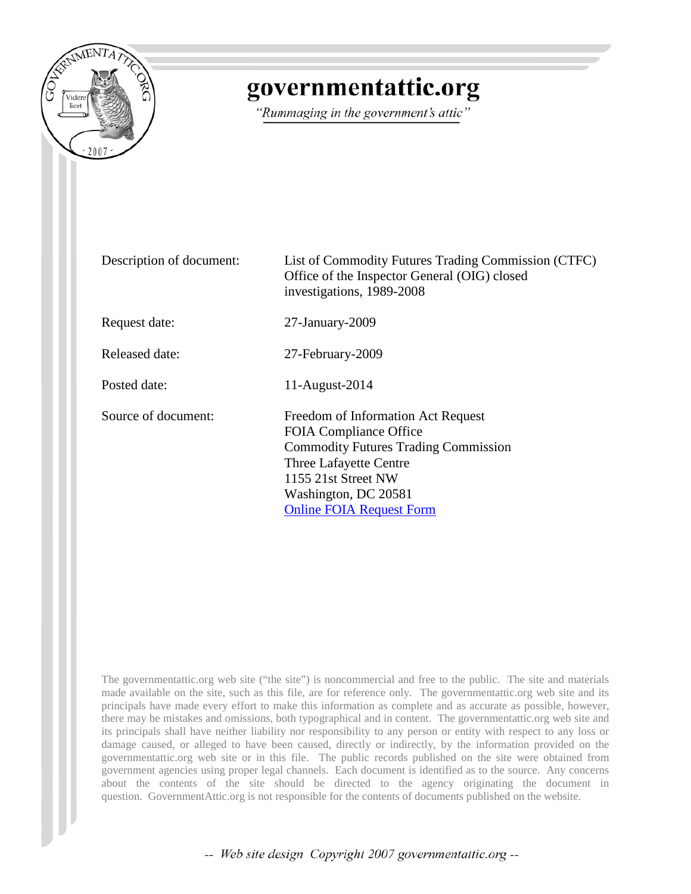

## governmentattic.org

"Rummaging in the government's attic"

| Description of document: | List of Commodity Futures Trading Commission (CTFC)<br>Office of the Inspector General (OIG) closed<br>investigations, 1989-2008                                                                                               |
|--------------------------|--------------------------------------------------------------------------------------------------------------------------------------------------------------------------------------------------------------------------------|
| Request date:            | $27$ -January- $2009$                                                                                                                                                                                                          |
| Released date:           | 27-February-2009                                                                                                                                                                                                               |
| Posted date:             | 11-August-2014                                                                                                                                                                                                                 |
| Source of document:      | Freedom of Information Act Request<br><b>FOIA Compliance Office</b><br><b>Commodity Futures Trading Commission</b><br>Three Lafayette Centre<br>1155 21st Street NW<br>Washington, DC 20581<br><b>Online FOIA Request Form</b> |

The governmentattic.org web site ("the site") is noncommercial and free to the public. The site and materials made available on the site, such as this file, are for reference only. The governmentattic.org web site and its principals have made every effort to make this information as complete and as accurate as possible, however, there may be mistakes and omissions, both typographical and in content. The governmentattic.org web site and its principals shall have neither liability nor responsibility to any person or entity with respect to any loss or damage caused, or alleged to have been caused, directly or indirectly, by the information provided on the governmentattic.org web site or in this file. The public records published on the site were obtained from government agencies using proper legal channels. Each document is identified as to the source. Any concerns about the contents of the site should be directed to the agency originating the document in question. GovernmentAttic.org is not responsible for the contents of documents published on the website.

-- Web site design Copyright 2007 governmentattic.org --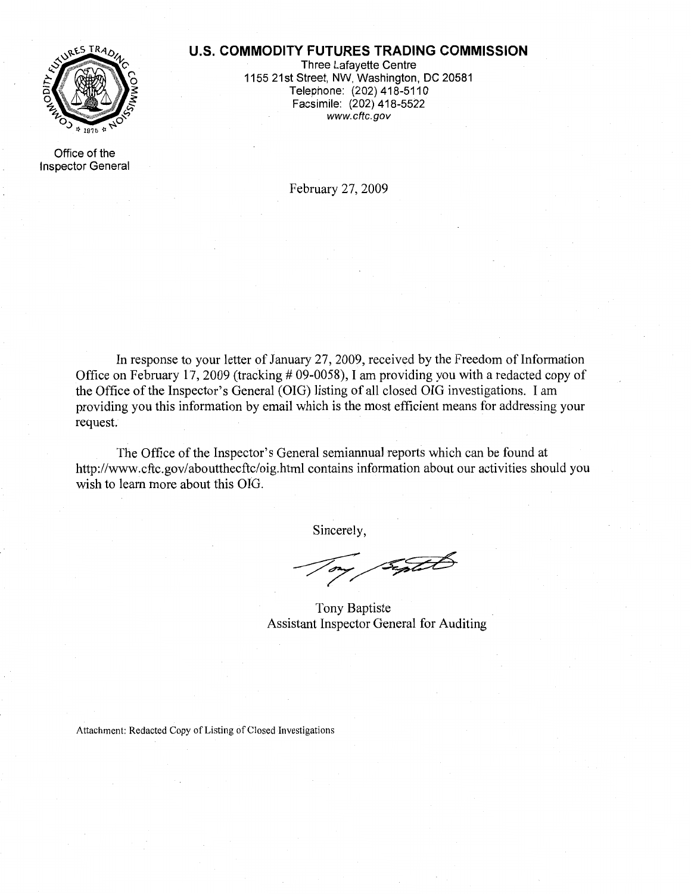## **U.S. COMMODITY FUTURES TRADING COMMISSION**



Three Lafayette Centre 1155 21st Street, NW, Washington, DC 20581 Telephone: (202) 418-5110 Facsimile: (202) 418-5522 www.cftc.gov

Office of the Inspector General

February 27, 2009

In response to your letter of January 27, 2009, received by the Freedom of Information Office on February 17, 2009 (tracking  $\#$  09-0058), I am providing you with a redacted copy of the Office of the Inspector's General (OIG) listing of all closed OIG investigations. I am providing you this information by email which is the most efficient means for addressing your request.

The Office of the Inspector's General semiannual reports which can be found at http://www.cftc.gov/aboutthecftc/oig.html contains information about our activities should you wish to learn more about this OIG.

Sincerely,

Systet

Tony Baptiste Assistant Inspector General for Auditing

Attachment: Redacted Copy of Listing of Closed Investigations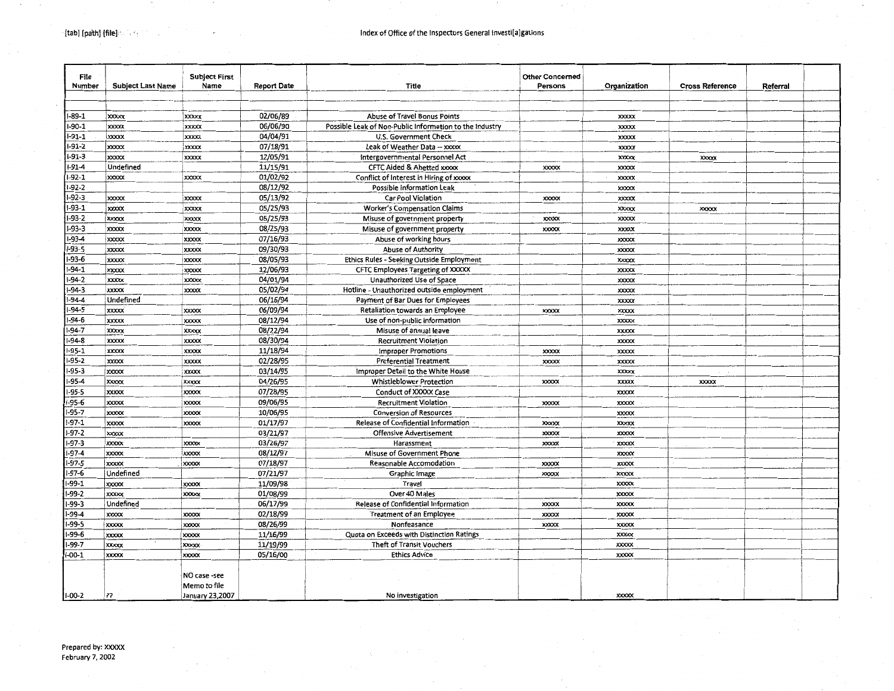| File<br>Number        | <b>Subject Last Name</b>     | <b>Subject First</b><br>Name | <b>Report Date</b>   | Title                                                   | <b>Other Concerned</b><br>Persons | Organization                 | <b>Cross Reference</b> | Referral |  |
|-----------------------|------------------------------|------------------------------|----------------------|---------------------------------------------------------|-----------------------------------|------------------------------|------------------------|----------|--|
|                       |                              |                              |                      |                                                         |                                   |                              |                        |          |  |
| -89-1                 | <b>xxxxx</b>                 | <b>XXXXX</b>                 | 02/06/89             | Abuse of Travel Bonus Points                            |                                   | <b>XXXXX</b>                 |                        |          |  |
| $-90-1$               | <b>XXXXX</b>                 | <b>XXXXX</b>                 | 06/06/90             | Possible Leak of Non-Public Information to the Industry |                                   | <b>XXXXX</b>                 |                        |          |  |
| $-91-1$               | <b>XXXXX</b>                 | <b>XXXXX</b>                 | 04/04/91             | U.S. Government Check                                   |                                   | <b>XXXXX</b>                 |                        |          |  |
| $-91-2$               | <b>xxxxx</b>                 | <b>XXXXX</b>                 | 07/18/91             | Leak of Weather Data -- xxxxx                           |                                   | <b>XXXXX</b>                 |                        |          |  |
| $-91-3$               | <b>XXXXX</b>                 | <b>XXXXX</b>                 | 12/05/91             | Intergovernmental Personnel Act                         |                                   | <b>XXXXX</b>                 | <b>XXXXX</b>           |          |  |
| -91-4                 | Undefined                    |                              | 11/15/91             | <b>CFTC Aided &amp; Abetted xxxxx</b>                   | <b>XXXXX</b>                      | <b>XXXXX</b>                 |                        |          |  |
| $-92-1$               | <b>XXXXX</b>                 | <b>XXXXX</b>                 | 01/02/92             | Conflict of Interest in Hiring of xxxxx                 |                                   | <b>XXXXX</b>                 |                        |          |  |
| $-92-2$               |                              |                              | 08/12/92             | Possible information Leak                               |                                   | <b>XXXXX</b>                 |                        |          |  |
| $-92-3$               | <b>XXXXX</b>                 | <b>XXXXX</b>                 | 05/13/92             | Car Pool Violation                                      | <b>XXXXXX</b>                     | <b>XXXXX</b>                 |                        |          |  |
| $-93-1$               | <b>XXXXX</b>                 | XXXXX                        | 05/25/93             | <b>Worker's Compensation Claims</b>                     |                                   | <b>XXXXX</b>                 | <b>XXXXX</b>           |          |  |
| $-93-2$               | xxxxx                        | <b>XXXXX</b>                 | 05/25/93             | Misuse of government property                           | <b>XXXXX</b>                      | <b>XXXXX</b>                 |                        |          |  |
| $-93-3$               | <b>XXXXX</b>                 | <b>XXXXX</b>                 | 08/25/93             | Misuse of government property                           | <b>XXXXX</b>                      | <b>XXXXX</b>                 |                        |          |  |
| $-93-4$               | <b>XXXXX</b>                 | <b>XXXXX</b>                 | 07/16/93             | Abuse of working hours                                  |                                   | <b>XXXXX</b>                 |                        |          |  |
| $-93-5$               | <b>XXXXX</b>                 | <b>XXXXX</b>                 | 09/30/93             | Abuse of Authority                                      |                                   | <b>XXXXX</b>                 |                        |          |  |
| $-93-6$               | <b>XXXXX</b>                 | <b>XXXXX</b>                 | 08/05/93             | Ethics Rules - Seeking Outside Employment               |                                   | XXXXX                        |                        |          |  |
| -94-1                 | <b>XXXXX</b>                 | <b>XXXXXX</b>                | 12/06/93             | <b>CFTC Employees Targeting of XXXXX</b>                |                                   | <b>XXXXX</b>                 |                        |          |  |
| $-94-2$               | <b>XXXXX</b>                 | <b>XXXXX</b>                 | 04/01/94             | Unauthorized Use of Space                               |                                   | <b>XXXXX</b>                 |                        |          |  |
| $-94-3$               | <b>XXXXX</b>                 | <b>XXXXX</b>                 | 05/02/94             | Hotline - Unauthorized outside employment               |                                   | <b>XXXXX</b>                 |                        |          |  |
| $-94-4$               | Undefined                    |                              | 06/16/94             | Payment of Bar Dues for Employees                       |                                   | <b>XXXXX</b>                 |                        |          |  |
| $-94-5$               | <b>xxxxx</b>                 | <b>XXXXX</b>                 | 06/09/94             | Retaliation towards an Employee                         | <b>XXXXX</b>                      | <b>XXXXX</b>                 |                        |          |  |
| -94-6                 | <b>XXXXX</b>                 | <b>XXXXX</b>                 | 08/12/94             | Use of non-public information                           |                                   | <b>XXXXX</b>                 |                        |          |  |
| $-94-7$               | <b>XXXXX</b>                 | <b>XXXXX</b>                 | 08/22/94             | Misuse of annual leave                                  |                                   | XXXXX                        |                        |          |  |
| $-94-8$               | <b>XXXXX</b>                 | <b>XXXXX</b>                 | 08/30/94             | <b>Recruitment Violation</b>                            |                                   | <b>XXXXX</b>                 |                        |          |  |
| $-95-1$               | <b>XXXXX</b>                 | <b>XXXXX</b>                 | 11/18/94             | <b>Improper Promotions</b>                              | <b>XXXXX</b>                      |                              |                        |          |  |
| $-95-2$               | <b>XXXXX</b>                 | <b>XXXXX</b>                 | 02/28/95             | <b>Preferential Treatment</b>                           | <b>XXXXX</b>                      | <b>XXXXX</b><br><b>XXXXX</b> |                        |          |  |
| $-95-3$               | xxxxx                        | <b>XXXXX</b>                 | 03/14/95             | Improper Detail to the White House                      |                                   | <b>XXXXX</b>                 |                        |          |  |
| $-95-4$               | <b>xxxxx</b>                 | <b>XXXXX</b>                 | 04/26/95             | Whistleblower Protection                                | <b>XXXXX</b>                      | <b>XXXXX</b>                 | <b>XXXXX</b>           |          |  |
| $-95-5$               | <b>XXXXX</b>                 | <b>XXXXX</b>                 | 07/28/95             | <b>Conduct of XXXXX Case</b>                            |                                   | <b>XXXXX</b>                 |                        |          |  |
| $-95-6$               |                              |                              |                      | <b>Recruitment Violation</b>                            |                                   |                              |                        |          |  |
| $-95-7$               | <b>XXXXX</b>                 | <b>XXXXX</b>                 | 09/06/95             |                                                         | XXXXX                             | <b>XXXXX</b>                 |                        |          |  |
| $-97-1$               | <b>XXXXX</b>                 | <b>XXXXX</b>                 | 10/06/95             | <b>Conversion of Resources</b>                          |                                   | <b>XXXXX</b>                 |                        |          |  |
| $-97-2$               | <b>XXXXX</b>                 | <b>XXXXX</b>                 | 01/17/97             | Release of Confidential Information                     | <b>XXXXX</b>                      | <b>XXXXX</b>                 |                        |          |  |
|                       | <b>XXXXX</b>                 |                              | 03/21/97             | <b>Offensive Advertisement</b>                          | <b>XXXXX</b>                      | <b>XXXXX</b>                 |                        |          |  |
| -97-3<br>-97-4        | <b>XXXXX</b>                 | <b>XXXXX</b>                 | 03/26/97             | Harassment                                              | <b>XXXXX</b>                      | <b>XXXXX</b>                 |                        |          |  |
| $-97-5$               | <b>XXXXX</b><br><b>XXXXX</b> | <b>XXXXX</b><br>xxxx         | 08/12/97<br>07/18/97 | Misuse of Government Phone<br>Reasonable Accomodation   |                                   | XXXXX<br><b>XXXXX</b>        |                        |          |  |
| -97-6                 | Undefined                    |                              |                      |                                                         | <b>XXXXX</b><br><b>XXXXX</b>      |                              |                        |          |  |
| -99-1                 | <b>XXXXXX</b>                | <b>xxxxx</b>                 | 07/21/97<br>11/09/98 | Graphic Image<br>Travel                                 |                                   | XXXXX<br><b>XXXXX</b>        |                        |          |  |
| -99-2                 | <b>XXXXX</b>                 | <b>xxxxx</b>                 | 01/08/99             | Over 40 Males                                           |                                   | <b>XXXXX</b>                 |                        |          |  |
| -99-3                 | Undefined                    |                              | 06/17/99             | Release of Confidential Information                     | <b>XXXXX</b>                      | <b>XXXXX</b>                 |                        |          |  |
|                       |                              |                              |                      |                                                         |                                   |                              |                        |          |  |
| -99-4<br>-99-5        | <b>XXXXX</b>                 | <b>XXXXX</b>                 | 02/18/99             | <b>Treatment of an Employee</b><br>Nonfeasance          | <b>XXXXXX</b>                     | <b>XXXXX</b>                 |                        |          |  |
| -99-6                 | <b>XXXXX</b>                 | <b>XXXXX</b>                 | 08/26/99<br>11/16/99 |                                                         | XXXXX                             | <b>XXXXX</b><br><b>XXXXX</b> |                        |          |  |
|                       | XXXXX<br><b>XXXXX</b>        | XXXXX                        |                      | Quota on Exceeds with Distinction Ratings               |                                   |                              |                        |          |  |
| -99-7<br>$I - 00 - 1$ |                              | <b>XXXXX</b>                 | 11/19/99             | Theft of Transit Vouchers                               |                                   | <b>XXXXX</b>                 |                        |          |  |
|                       | <b>XXXXX</b>                 | <b>XXXXX</b>                 | 05/16/00             | <b>Ethics Advice</b>                                    |                                   | <b>XXXXX</b>                 |                        |          |  |
|                       |                              | NO case -see                 |                      |                                                         |                                   |                              |                        |          |  |
|                       |                              | Memo to file                 |                      |                                                         |                                   |                              |                        |          |  |
| $1-00-2$              | 77                           | January 23,2007              |                      | No investigation                                        |                                   | <b>XXXXX</b>                 |                        |          |  |